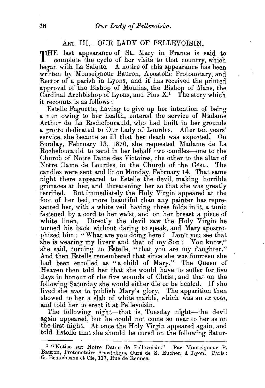## ART. III.-OUR LADY OF PELLEVOISIN.

THE last appearance of St. Mary in France is said to **1** complete the cycle of her visits to that country, which began with La Salette. A notice of this appearance has been written by Monseigneur Bauron, Apostolic Protonotary, and Rector of a parish in Lyons, and it has received the printed approval of the Bishop of Moulins, the Bishop of Mans, the Cardinal Archbishop of Lyons, and Pius  $X<sup>1</sup>$ . The story which it recounts is as follows :

Estelle Faguette, having to give up her intention *of* being a nun owing to her health, entered the service of Madame Arthur de La Rochefoucauld, who had built in her grounds a grotto dedicated to Our Lady of Lourdes. After ten years' service, she became so ill that her death was expected. On Sunday, February 13, 1870, she requested Madame de La Rochefoucauld to send in her behalf two candles-one to the Church of Notre Dame des Victoires, the other to the altar of Notre Dame de Lourdes, in the Church of the Gesu. The candles were sent and lit on Monday, February 14. That same night there appeared to Estelle the devil, making horrible gnmaces at her, and threatening her so that she was greatly terrified. But immediately the Holy Virgin appeared at the foot of her bed, more beautiful than any painter has represented her, with a white veil having three folds in it, a tunic fastened by a cord to her waist, and on her breast a piece of white linen. Directly the devil saw the Holy Virgin he turned his back without daring to speak, and Mary apostrophized him : " What are you doing here ? Don't you see that she is wearing my livery and that of my Son? You know," she said, turning to Estelle, "that you are my daughter." And then Estelle remembered that since she was fourteen she had been enrolled as "a child of Mary." The Queen of Heaven then told her that she would have to suffer for five days in honour of the five wounds of Christ, and that on the following Saturday she would either die or be healed. If she lived she was to publish Mary's glory, The apparition then showed to her a slab of white marble, which was an *ex voto,*  and told her to erect it at Pellevoisin.

The following night-that is, Tuesday night-the devil again appeared, but he could not come so near to her as on the first night. At once the Holy Virgin appeared again, and told Estelle that she should be cured on the following Satur-

<sup>1 &</sup>quot;Notice sur Notre Dame de Pellevoisin." Par Monseigneur P. Bauron, Protonotaire Apostolique Curé de S. Eucher, à Lyon. Paris: G. Beauchesne et Cie, 117, Rue de Rennes.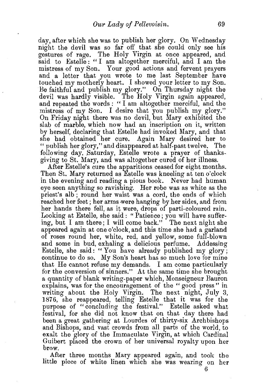day, after which she was to publish her glory. On Wednesday night the devil was so far off that she could only see his gestures of rage. The Holy Virgin at once appeared, and said to Estelle: "I am altogether merciful, and I am the mistress of my Son. Your good actions and fervent prayers and a letter that you wrote to me last September have touched my motherly heart. I showed your letter to my Son. Be faithful and publish my glory." On Thursday night the devil was hardly visible. The Holy Virgin again appeared, and repeated the words : " I am altogether merciful, and the mistress of my Son. I desire that you publish my glory." On Friday night there was no devil, but Mary exhibited the slab of marble, which now had an inscription on it, written by herself, declaring that Estelle had invoked Mary, and that she had obtained her cure. Again Mary desired her to "publish her glory," and disappeared at half-past twelve. The following day, Saturday, Estelle wrote a prayer of thanksgiving to St. Mary, and was altogether cured of her illness.

After Estelle's cure the apparitions ceased for eight months. Then St. Mary returned as Estelle was kneeling at ten o'clock in the evening and reading a pious book. Never had human eye seen anything so ravishing. Her robe was as white as the priest's alb ; round her waist was a cord, the ends of which reached her feet; her arms were hanging by her sides, and from her hands there fell, as it were, drops of parti-coloured rain. Looking at Estelle, she said: "Patience; you will have suffering, but I am there; I will come back." The next night she appeared again at one o'clock, and this time she had a garland of roses round her, white, red, and yellow, some full-blown and some in bud, exhaling a delicious perfume. Addessing Estelle, she said: "You have already published my glory; continue to do so. My Son's heart has so much love for mine that He cannot refuse my demands. I am come particularly for the conversion of sinners." At the same time she brought a quantity of blank writing-paper which, Monseigneur Bauron explains, was for the encouragement of the "good press" in writing about the Holy Virgin. The next night, July 3, 1876, she reappeared, telling Estelle that it was for the purpose of "concluding the festival." Estelle asked what festival, for she did not know that on that day there had been a great gathering at Lourdes of thirty-six Archbishops and Bishops, and vast crowds from all parts of the world, to exalt the glory of the Immaculate Virgin, at which Cardinal Guibert placed the crown of her universal royalty upon her brow.

After three months Mary appeared again, and took the little piece of white linen which she was wearing on her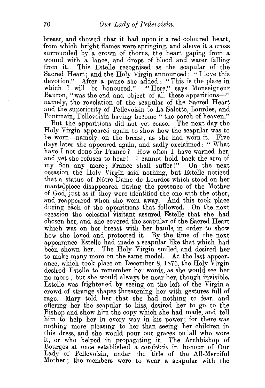breast, and showed that it had upon it a red-coloured heart, from which bright flames were springing, and above it a cross surrounded by a crown of thorns, the heart gaping from a wound with a lance, and drops of blood and water falling from it. This Estelle recognised as the scapular of the Sacred Heart; and the Holy Virgin announced: "I love this devotion." After a pause she added : "This is the place in which I will be honoured." "Here," says Monseigneur Bauron, "was the end and object of all these apparitions-" namely, the revelation of the scapular of the Sacred Heart and the superiority of Pellevoisin to La Salette, Lourdes, and Pontmain, Pellevoisin having become "the porch of heaven."

But the apparitions did not yet cease. The next day the Holy Virgin appeared again to show how the scapular was to be worn-namely, on the breast, as she had worn it. Five days later she appeared again, and sadly exclaimed: " What have I not done for France? How often I have warned her, and yet she refuses to hear! I cannot hold back the arm of my "Son any more; France shall suffer !" On the next occasion the Holy Virgin said nothing, but Estelle noticed that a statue of Notre Dame de Lourdes which stood on her mantelpiece disappeared during the presence of the Mother of God, just as if they were identified the one with the other, and reappeared when she went away. And this took place during each of the apparitions that followed. On the next occasion the celestial visitant assured Estelle that she had chosen her, and she covered the scapular of the Sacred Heart which was on her breast with her hands, in order to show how she loved and protected it. By the time of the next appearance Estelle had made a scapular like that which had been shown her. The Holy Virgin smiled, and desired her to make many more on the same model. At the last appearance, which took place on December 8, 1876, the Holy Virgin desired Estelle to remember her words, as she would see her no more; but she would always be near her, though invisible. Estelle was frightened by seeing on the left of the Virgin a crowd of strange shapes threatening her with gestures full of rage. Mary told her that she had nothing to fear, and offering her the scapular to kiss, desired her to go to the Bishop and show him the copy which she had made, and tell him to help her in every way in his power; for there was nothing more pleasing to her than seeing her children in this dress, and she would pour out graces on all who wore it, or who helped in propagating it. The Archbishop of Bourges at once established a *confrerie* in honour of Our Lady of Pellevoisin, under the title of the AU-Merciful Mother ; the members were to wear a scapular with the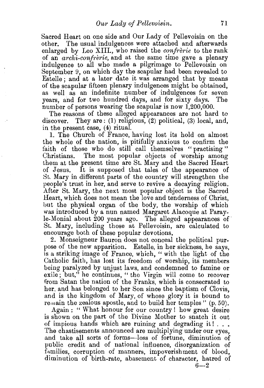Sacred Heart on one side and Our Lady of Pellevoisin on the other. The usual indulgences were attached and afterwards enlarged by Leo XIII., who raised the *confrerie* to the rank of an *archi-confrerie,* and at the same time gave a plenary indulgence to all who made a pilgrimage to Pellevoisin on September 9, on which day the scapular had been revealed to Estelle ; and at a later date it was arranged that by means of the scapular fifteen plenary indulgences might be obtained, as well as an indefinite number of indulgences for seven years, and for two hundred days, and for sixty days. The number of persons wearing the scapular is now 1,200,000.

The reasons of these alleged appearances are not hard te discover. They are: (1) religious,  $(2)$  political,  $(3)$  local, and, in the present case, (4) ritual.

1. The Church of France, having lost its hold on almost the whole of the nation, is pitifully anxious to confirm the faith of those who do still call themselves "practising" Christians. The most popular objects of worship among them at the present time are St. Mary and the Sacred Heart of Jesus. It is supposed that tales of the appearance of St. Mary in different parts of the country will strengthen the people's trust in her, and serve to revive a decaying religion. After St. Mary, the next most popular object is the Sacred Heart, which does not mean the love and tenderness of Christ, but the physical organ of the body, the worship of which was introduced by a nun named Margaret Alacoque at Parayle-Monial about 200 years ago. The alleged appearances of St. Mary, including those at Pellevoisin, are calculated to encourage both of these popular devotions.

2. Monseigneur Bauron does not conceal the political purpose of the new apparition. Estelle, in her sickness, be says, is a striking image of France, which, " with the light of the Catholic faith, has lost its freedom of worship, its members being paralyzed by unjust laws, and condemned to famine or exile; but," he continues, "the Virgin will come to recover from Satan the nation of the Franks, which is consecrated to her. and has belonged to her Son since the baptism of Clovis, and is the kingdom of Mary, of whose glory it is bound to remain the zealous apostle, and to build her temples" (p. 50).

Again : " What honour for our country ! how great desire is shown on the part of the Divine Mother to snatch it out of impious hands which are ruining and degrading it! ... The chastisements announced are multiplying under our eyes, and take all sorts of forms-loss of fortune, diminution of public credit and of national influence, disorganization of families, corruption of manners, impoverishment of blood, diminution of birth-rate, abasement of character, hatred of  $6-2$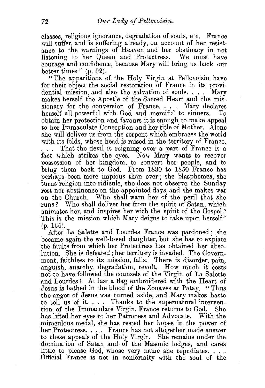classes, religious ignorance, degradation of souls, etc. France will suffer, and is suffering already, on account of her resistance to the warnings of Heaven and her obstinacy in not listening to her Queen and Protectress. We must have courage and confidence, because Mary will bring us back our better times" (p. 92).

"The apparitions of the Holy Virgin at Pellevoisin have for their object the social restoration of France in its providential mission, and also the salvation of souls. . . . Mary makes herself the Apostle of the Sacred Heart and the missionary for the conversion of France. . . . Mary declares herself all-powerful with God and merciful to sinners. To obtain her protection and favours it is enough to make appeal to her Immaculate Conception and her title of Mother. Alone she will deliver us from the serpent which embraces the world with its folds, whose head is raised in the territory of France.

... That the devil is reigning over a part of France is a fact which strikes the eyes. Now Mary wants to recover possession of her kingdom, to convert. her people, and to bring them back to  $\text{God.}$  From 1830 to 1850 France has perhaps been more impious than ever; she blasphemes, she turns religion into ridicule, she does not observe the Sunday rest nor abstinence on the appointed days, and she makes war on the Church. Who shall warn her of the peril that she runs? Who shall deliver her from the spirit of Satan, which animates her, and inspires her with the spirit of the Gospel? This is the mission which Mary deigns to take upon herself" (p. 166).

After La Salette and I.ourdes France was pardoned ; she became again the well-loved daughter, but she has to expiate the faults from which her Protectress has obtained her absolution. She is defeated; her territory is invaded. The Government, faithless to its mission, falls. There is disorder, pain, anguish, anarchy, degradation, revolt. How much it costs not to have followed the counsels of the Virgin of La Salette and Lourdes ! At last a flag embroidered with the Heart of Jesus is bathed in the blood of the Zouaves at Patay. "Thus the anger of Jesus was turned aside, and Mary makes haste to tell us of it.... Thanks to the supernatural intervention of the Immaculate Virgin, France returns to God. She has lifted her eyes to her Patroness and Advocate. With the miraculous medal, she has rested her hopes in the power of her Protectress. . . . France has not altogether made answer to these appeals of the Holy Virgin. She remains under the domination of Satan and of the Masonic lodges, and cares little to please God, whose very name she repudiates....<br>Official France is not in conformity with the soul of the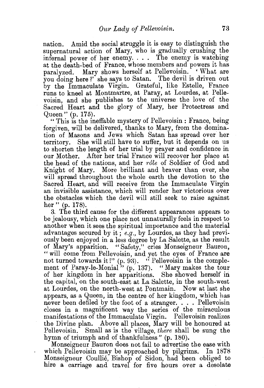nation. Amid the social struggle it is easy to distinguish the supernatural action of Mary, who is gradually crushing the infernal power of her enemy. . . . The enemy is watching at the death-bed of France, whose members and powers it has paralyzed. Mary shows herself at Pellevoisin. ' What are you doing here?' she says to Satan. The devil is driven out by the Immaculate Virgin. Grateful, like Estelle, France runs to kneel at Montmartre, at Paray, at Lourdes, at Pellevoisin, and she publishes to the universe the love of the Sacred Heart and the glory of Mary, her Protectress and Queen" (p.175).

" This is the ineffable mystery of Pellevoisin : France, being forgiven, will be delivered, thanks to Mary, from the domination of Masons and Jews which Satan has spread over her territory. She will still have to suffer, but it depends on us to shorten the length of her trial by prayer and confidence in our Mother. After her trial France will recover her place at the head of the nations, and her *role* of Soldier of God and Knight of Mary. More brilliant and braver than ever, she will spread throughout the whole earth the devotion to the Sacred Heart, and will receive from the Immaculate Virgin an invisible assistance, which will render her victorious over the obstacles which the devil will still seek to raise against her" (p. 178).

3. The third cause for the different appearances appears to be jealousy, which one place not unnaturally feels in respect to another when it sees the spiritual importance and the material advantages secured by it ; *e.g.,* by Lourdes, as they had previously been enjoyed in a less degree by La Salette, as the result of Mary's apparition. "Safety," cries Monseigneur Bauron, " will come from Pellevoisin, and yet the eyes of France are not turned towards it!" (p. 93). "Pellevoisin is the complement of Paray-le-Monial" (p. 137). "Mary makes the tour of her kingdom in her apparitions. She showed herself in the capital, on the south-east at La Salette, in the south-west at Lourdes, on the north-west at Pontmain. Now at last she appears, as a Queen, in the centre of her kingdom, which has never been defiled by the foot of a stranger. . . . Pellevoisin closes in a magnificent way the series of the miraculous manifestations of the Immaculate Virgin. Pellevoisin realizes the Divine plan. Above all places, Mary will be honoured at Pellevoisin. Small as is the village, *there* shall be sung the hymn of triumph and of thankfulness" (p. 180).

Monseigneur Bauron does not fail to advertise the ease with which Pellevoisin may be approached by pilgrims. In 1878 Monseigneur Coullie, Bishop of Sidon, had been obliged to hire a carriage and travel for five hours over a desolate